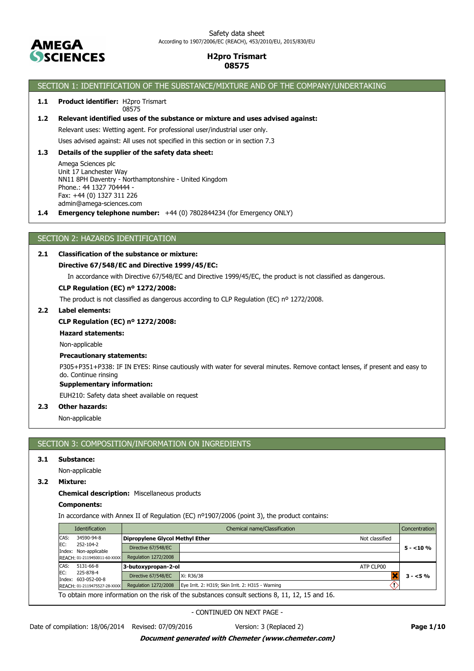

#### Safety data sheet According to 1907/2006/EC (REACH), 453/2010/EU, 2015/830/EU

# **H2pro Trismart 08575**

# SECTION 1: IDENTIFICATION OF THE SUBSTANCE/MIXTURE AND OF THE COMPANY/UNDERTAKING

#### 1.1 Product identifier: H2pro Trismart 08575

### **1.2 Relevant identified uses of the substance or mixture and uses advised against:**

Relevant uses: Wetting agent. For professional user/industrial user only.

Uses advised against: All uses not specified in this section or in section 7.3

## **1.3 Details of the supplier of the safety data sheet:**

Amega Sciences plc Unit 17 Lanchester Way NN11 8PH Daventry - Northamptonshire - United Kingdom Phone.: 44 1327 704444 - Fax: +44 (0) 1327 311 226 admin@amega-sciences.com

**1.4 Emergency telephone number:** +44 (0) 7802844234 (for Emergency ONLY)

## SECTION 2: HAZARDS IDENTIFICATION

### **2.1 Classification of the substance or mixture:**

## **Directive 67/548/EC and Directive 1999/45/EC:**

In accordance with Directive 67/548/EC and Directive 1999/45/EC, the product is not classified as dangerous.

### **CLP Regulation (EC) nº 1272/2008:**

The product is not classified as dangerous according to CLP Regulation (EC) nº 1272/2008.

### **2.2 Label elements:**

### **CLP Regulation (EC) nº 1272/2008:**

**Hazard statements:**

Non-applicable

### **Precautionary statements:**

P305+P351+P338: IF IN EYES: Rinse cautiously with water for several minutes. Remove contact lenses, if present and easy to do. Continue rinsing

## **Supplementary information:**

EUH210: Safety data sheet available on request

## **2.3 Other hazards:**

Non-applicable

# SECTION 3: COMPOSITION/INFORMATION ON INGREDIENTS

### **3.1 Substance:**

Non-applicable

### **3.2 Mixture:**

**Chemical description:** Miscellaneous products

#### **Components:**

In accordance with Annex II of Regulation (EC) nº1907/2006 (point 3), the product contains:

|      | <b>Identification</b>              |                                        | Chemical name/Classification                                                                    |                | <b>Concentration</b> |
|------|------------------------------------|----------------------------------------|-------------------------------------------------------------------------------------------------|----------------|----------------------|
| CAS: | 34590-94-8                         | <b>Dipropylene Glycol Methyl Ether</b> |                                                                                                 | Not classified |                      |
| EC:  | 252-104-2<br>Index: Non-applicable | Directive 67/548/EC                    |                                                                                                 |                | $5 - 10%$            |
|      | REACH: 01-2119450011-60-XXXX       | Regulation 1272/2008                   |                                                                                                 |                |                      |
| CAS: | 5131-66-8                          | 3-butoxypropan-2-ol                    |                                                                                                 | ATP CLP00      |                      |
| EC:  | 225-878-4<br>Index: 603-052-00-8   | Directive 67/548/EC                    | Xi: R36/38                                                                                      |                | $3 - 5%$             |
|      | REACH: 01-2119475527-28-XXXX       | Regulation 1272/2008                   | Eye Irrit. 2: H319; Skin Irrit. 2: H315 - Warning                                               |                |                      |
|      |                                    |                                        | To obtain more information on the risk of the substances consult sections 8, 11, 12, 15 and 16. |                |                      |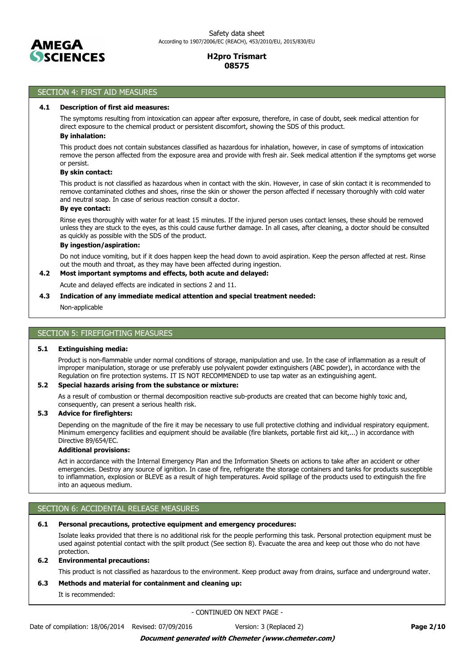

# SECTION 4: FIRST AID MEASURES

#### **4.1 Description of first aid measures:**

The symptoms resulting from intoxication can appear after exposure, therefore, in case of doubt, seek medical attention for direct exposure to the chemical product or persistent discomfort, showing the SDS of this product.

## **By inhalation:**

This product does not contain substances classified as hazardous for inhalation, however, in case of symptoms of intoxication remove the person affected from the exposure area and provide with fresh air. Seek medical attention if the symptoms get worse or persist.

### **By skin contact:**

This product is not classified as hazardous when in contact with the skin. However, in case of skin contact it is recommended to remove contaminated clothes and shoes, rinse the skin or shower the person affected if necessary thoroughly with cold water and neutral soap. In case of serious reaction consult a doctor.

## **By eye contact:**

Rinse eyes thoroughly with water for at least 15 minutes. If the injured person uses contact lenses, these should be removed unless they are stuck to the eyes, as this could cause further damage. In all cases, after cleaning, a doctor should be consulted as quickly as possible with the SDS of the product.

### **By ingestion/aspiration:**

Do not induce vomiting, but if it does happen keep the head down to avoid aspiration. Keep the person affected at rest. Rinse out the mouth and throat, as they may have been affected during ingestion.

### **4.2 Most important symptoms and effects, both acute and delayed:**

Acute and delayed effects are indicated in sections 2 and 11.

### **4.3 Indication of any immediate medical attention and special treatment needed:**

Non-applicable

## SECTION 5: FIREFIGHTING MEASURES

#### **5.1 Extinguishing media:**

Product is non-flammable under normal conditions of storage, manipulation and use. In the case of inflammation as a result of improper manipulation, storage or use preferably use polyvalent powder extinguishers (ABC powder), in accordance with the Regulation on fire protection systems. IT IS NOT RECOMMENDED to use tap water as an extinguishing agent.

#### **5.2 Special hazards arising from the substance or mixture:**

As a result of combustion or thermal decomposition reactive sub-products are created that can become highly toxic and, consequently, can present a serious health risk.

#### **5.3 Advice for firefighters:**

Depending on the magnitude of the fire it may be necessary to use full protective clothing and individual respiratory equipment. Minimum emergency facilities and equipment should be available (fire blankets, portable first aid kit,...) in accordance with Directive 89/654/EC.

## **Additional provisions:**

Act in accordance with the Internal Emergency Plan and the Information Sheets on actions to take after an accident or other emergencies. Destroy any source of ignition. In case of fire, refrigerate the storage containers and tanks for products susceptible to inflammation, explosion or BLEVE as a result of high temperatures. Avoid spillage of the products used to extinguish the fire into an aqueous medium.

### SECTION 6: ACCIDENTAL RELEASE MEASURES

### **6.1 Personal precautions, protective equipment and emergency procedures:**

Isolate leaks provided that there is no additional risk for the people performing this task. Personal protection equipment must be used against potential contact with the spilt product (See section 8). Evacuate the area and keep out those who do not have protection.

### **6.2 Environmental precautions:**

This product is not classified as hazardous to the environment. Keep product away from drains, surface and underground water.

### **6.3 Methods and material for containment and cleaning up:**

It is recommended: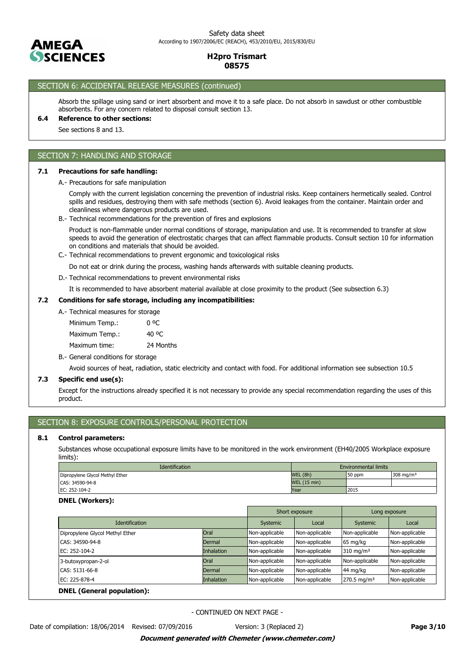

# SECTION 6: ACCIDENTAL RELEASE MEASURES (continued)

Absorb the spillage using sand or inert absorbent and move it to a safe place. Do not absorb in sawdust or other combustible absorbents. For any concern related to disposal consult section 13.

## **6.4 Reference to other sections:**

See sections 8 and 13.

### SECTION 7: HANDLING AND STORAGE

### **7.1 Precautions for safe handling:**

A.- Precautions for safe manipulation

Comply with the current legislation concerning the prevention of industrial risks. Keep containers hermetically sealed. Control spills and residues, destroying them with safe methods (section 6). Avoid leakages from the container. Maintain order and cleanliness where dangerous products are used.

B.- Technical recommendations for the prevention of fires and explosions

Product is non-flammable under normal conditions of storage, manipulation and use. It is recommended to transfer at slow speeds to avoid the generation of electrostatic charges that can affect flammable products. Consult section 10 for information on conditions and materials that should be avoided.

C.- Technical recommendations to prevent ergonomic and toxicological risks

Do not eat or drink during the process, washing hands afterwards with suitable cleaning products.

D.- Technical recommendations to prevent environmental risks

It is recommended to have absorbent material available at close proximity to the product (See subsection 6.3)

## **7.2 Conditions for safe storage, including any incompatibilities:**

A.- Technical measures for storage

Maximum time: 24 Months Maximum Temp.: 40 °C Minimum Temp.: 0 °C

B.- General conditions for storage

Avoid sources of heat, radiation, static electricity and contact with food. For additional information see subsection 10.5

### **7.3 Specific end use(s):**

Except for the instructions already specified it is not necessary to provide any special recommendation regarding the uses of this product.

## SECTION 8: EXPOSURE CONTROLS/PERSONAL PROTECTION

#### **8.1 Control parameters:**

Substances whose occupational exposure limits have to be monitored in the work environment (EH40/2005 Workplace exposure limits):

| <b>Identification</b>           | Environmental limits |         |                       |
|---------------------------------|----------------------|---------|-----------------------|
| Dipropylene Glycol Methyl Ether | WEL (8h)             | 150 ppm | 308 mg/m <sup>3</sup> |
| CAS: 34590-94-8                 | <b>WEL (15 min)</b>  |         |                       |
| EC: 252-104-2                   | Year                 | 2015    |                       |

#### **DNEL (Workers):**

|                                   |                   |                | Short exposure | Long exposure          |                |  |
|-----------------------------------|-------------------|----------------|----------------|------------------------|----------------|--|
| <b>Identification</b>             |                   | Systemic       | Local          | Systemic               | Local          |  |
| Dipropylene Glycol Methyl Ether   | Oral              | Non-applicable | Non-applicable | Non-applicable         | Non-applicable |  |
| CAS: 34590-94-8                   | Dermal            | Non-applicable | Non-applicable | 65 mg/kg               | Non-applicable |  |
| EC: 252-104-2                     | <b>Inhalation</b> | Non-applicable | Non-applicable | $310 \text{ mg/m}^3$   | Non-applicable |  |
| 3-butoxypropan-2-ol               | Oral              | Non-applicable | Non-applicable | Non-applicable         | Non-applicable |  |
| CAS: 5131-66-8                    | Dermal            | Non-applicable | Non-applicable | 44 mg/kg               | Non-applicable |  |
| EC: 225-878-4                     | <b>Inhalation</b> | Non-applicable | Non-applicable | $270.5 \text{ mg/m}^3$ | Non-applicable |  |
| <b>DNEL</b> (General population): |                   |                |                |                        |                |  |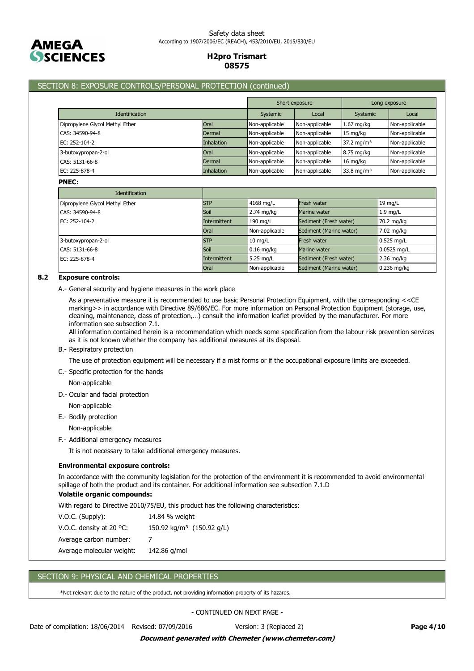

# SECTION 8: EXPOSURE CONTROLS/PERSONAL PROTECTION (continued)

|                                 |                   | Short exposure |                | Long exposure          |                |
|---------------------------------|-------------------|----------------|----------------|------------------------|----------------|
| <b>Identification</b>           |                   | Systemic       | Local          | Systemic               | Local          |
| Dipropylene Glycol Methyl Ether | Oral              | Non-applicable | Non-applicable | $1.67$ mg/kg           | Non-applicable |
| CAS: 34590-94-8                 | Dermal            | Non-applicable | Non-applicable | 15 mg/kg               | Non-applicable |
| EC: 252-104-2                   | <b>Inhalation</b> | Non-applicable | Non-applicable | 37.2 mg/m <sup>3</sup> | Non-applicable |
| 3-butoxypropan-2-ol             | Oral              | Non-applicable | Non-applicable | 8.75 mg/kg             | Non-applicable |
| CAS: 5131-66-8                  | Dermal            | Non-applicable | Non-applicable | 16 mg/kg               | Non-applicable |
| EC: 225-878-4                   | <b>Inhalation</b> | Non-applicable | Non-applicable | 33.8 mg/m <sup>3</sup> | Non-applicable |

#### **PNEC:**

| <b>Identification</b>           |              |                |                         |                   |
|---------------------------------|--------------|----------------|-------------------------|-------------------|
| Dipropylene Glycol Methyl Ether | <b>STP</b>   | 4168 mg/L      | <b>Fresh water</b>      | $19 \text{ mg/L}$ |
| CAS: 34590-94-8                 | Soil         | 2.74 mg/kg     | Marine water            | $1.9$ mg/L        |
| EC: 252-104-2                   | Intermittent | 190 mg/L       | Sediment (Fresh water)  | 70.2 mg/kg        |
|                                 | Oral         | Non-applicable | Sediment (Marine water) | 7.02 mg/kg        |
| 3-butoxypropan-2-ol             | <b>STP</b>   | $10$ mg/L      | <b>Fresh water</b>      | 0.525 mg/L        |
| CAS: 5131-66-8                  | Soil         | $0.16$ mg/kg   | Marine water            | $0.0525$ mg/L     |
| EC: 225-878-4                   | Intermittent | 5.25 mg/L      | Sediment (Fresh water)  | 2.36 mg/kg        |
|                                 | Oral         | Non-applicable | Sediment (Marine water) | $0.236$ mg/kg     |

## **8.2 Exposure controls:**

A.- General security and hygiene measures in the work place

As a preventative measure it is recommended to use basic Personal Protection Equipment, with the corresponding <<CE marking>> in accordance with Directive 89/686/EC. For more information on Personal Protection Equipment (storage, use, cleaning, maintenance, class of protection,…) consult the information leaflet provided by the manufacturer. For more information see subsection 7.1.

All information contained herein is a recommendation which needs some specification from the labour risk prevention services as it is not known whether the company has additional measures at its disposal.

#### B.- Respiratory protection

The use of protection equipment will be necessary if a mist forms or if the occupational exposure limits are exceeded.

C.- Specific protection for the hands

Non-applicable

- D.- Ocular and facial protection
	- Non-applicable

E.- Bodily protection

Non-applicable

F.- Additional emergency measures

It is not necessary to take additional emergency measures.

#### **Environmental exposure controls:**

In accordance with the community legislation for the protection of the environment it is recommended to avoid environmental spillage of both the product and its container. For additional information see subsection 7.1.D

### **Volatile organic compounds:**

With regard to Directive 2010/75/EU, this product has the following characteristics:

| $V.O.C.$ (Supply):                 | 14.84 % weight                          |
|------------------------------------|-----------------------------------------|
| V.O.C. density at 20 $^{\circ}$ C: | 150.92 kg/m <sup>3</sup> $(150.92$ g/L) |
| Average carbon number:             |                                         |
| Average molecular weight:          | 142.86 g/mol                            |

## SECTION 9: PHYSICAL AND CHEMICAL PROPERTIES

\*Not relevant due to the nature of the product, not providing information property of its hazards.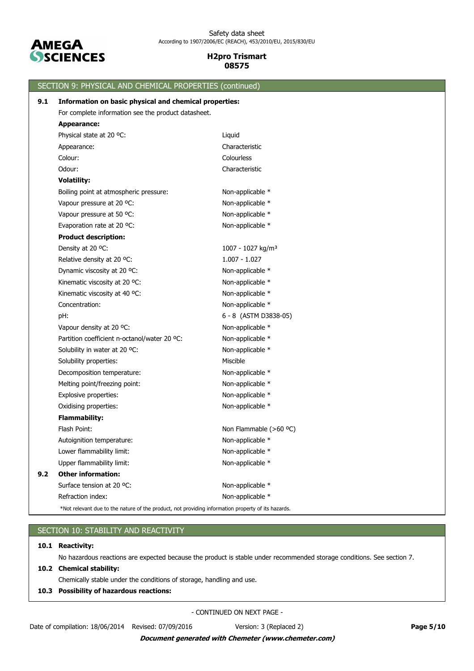

|     | SECTION 9: PHYSICAL AND CHEMICAL PROPERTIES (continued)                                            |                               |
|-----|----------------------------------------------------------------------------------------------------|-------------------------------|
| 9.1 | Information on basic physical and chemical properties:                                             |                               |
|     | For complete information see the product datasheet.                                                |                               |
|     | <b>Appearance:</b>                                                                                 |                               |
|     | Physical state at 20 °C:                                                                           | Liquid                        |
|     | Appearance:                                                                                        | Characteristic                |
|     | Colour:                                                                                            | Colourless                    |
|     | Odour:                                                                                             | Characteristic                |
|     | <b>Volatility:</b>                                                                                 |                               |
|     | Boiling point at atmospheric pressure:                                                             | Non-applicable *              |
|     | Vapour pressure at 20 °C:                                                                          | Non-applicable *              |
|     | Vapour pressure at 50 °C:                                                                          | Non-applicable *              |
|     | Evaporation rate at 20 °C:                                                                         | Non-applicable *              |
|     | <b>Product description:</b>                                                                        |                               |
|     | Density at 20 °C:                                                                                  | 1007 - 1027 kg/m <sup>3</sup> |
|     | Relative density at 20 °C:                                                                         | $1.007 - 1.027$               |
|     | Dynamic viscosity at 20 °C:                                                                        | Non-applicable *              |
|     | Kinematic viscosity at 20 °C:                                                                      | Non-applicable *              |
|     | Kinematic viscosity at 40 °C:                                                                      | Non-applicable *              |
|     | Concentration:                                                                                     | Non-applicable *              |
|     | pH:                                                                                                | 6 - 8 (ASTM D3838-05)         |
|     | Vapour density at 20 °C:                                                                           | Non-applicable *              |
|     | Partition coefficient n-octanol/water 20 °C:                                                       | Non-applicable *              |
|     | Solubility in water at 20 °C:                                                                      | Non-applicable *              |
|     | Solubility properties:                                                                             | Miscible                      |
|     | Decomposition temperature:                                                                         | Non-applicable *              |
|     | Melting point/freezing point:                                                                      | Non-applicable *              |
|     | Explosive properties:                                                                              | Non-applicable *              |
|     | Oxidising properties:                                                                              | Non-applicable *              |
|     | <b>Flammability:</b>                                                                               |                               |
|     | Flash Point:                                                                                       | Non Flammable (>60 °C)        |
|     | Autoignition temperature:                                                                          | Non-applicable *              |
|     | Lower flammability limit:                                                                          | Non-applicable *              |
|     | Upper flammability limit:                                                                          | Non-applicable *              |
| 9.2 | <b>Other information:</b>                                                                          |                               |
|     | Surface tension at 20 °C:                                                                          | Non-applicable *              |
|     | Refraction index:                                                                                  | Non-applicable *              |
|     | *Not relevant due to the nature of the product, not providing information property of its hazards. |                               |

# SECTION 10: STABILITY AND REACTIVITY

## **10.1 Reactivity:**

No hazardous reactions are expected because the product is stable under recommended storage conditions. See section 7.

### **10.2 Chemical stability:**

Chemically stable under the conditions of storage, handling and use.

### **10.3 Possibility of hazardous reactions:**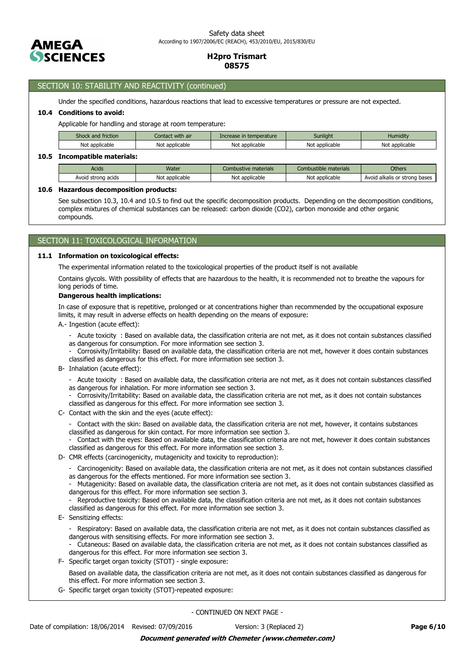

## SECTION 10: STABILITY AND REACTIVITY (continued)

Under the specified conditions, hazardous reactions that lead to excessive temperatures or pressure are not expected.

### **10.4 Conditions to avoid:**

**10.5 Incompatible materials:**

Applicable for handling and storage at room temperature:

| Shock and friction      | Contact with air | Increase in temperature | <b>Sunlight</b> | Humidity       |  |  |  |  |
|-------------------------|------------------|-------------------------|-----------------|----------------|--|--|--|--|
| Not applicable          | Not applicable   | Not applicable          | Not applicable  | Not applicable |  |  |  |  |
| Incompatible materials: |                  |                         |                 |                |  |  |  |  |

| Acids              | Water          | Combustive materials | Combustible materials | <b>Others</b>                      |
|--------------------|----------------|----------------------|-----------------------|------------------------------------|
| Avoid strong acids | Not applicable | Not applicable       | Not applicable        | Avoid alkalis or strong<br>ı bases |

#### **10.6 Hazardous decomposition products:**

See subsection 10.3, 10.4 and 10.5 to find out the specific decomposition products. Depending on the decomposition conditions, complex mixtures of chemical substances can be released: carbon dioxide (CO2), carbon monoxide and other organic compounds.

## SECTION 11: TOXICOLOGICAL INFORMATION

### **11.1 Information on toxicological effects:**

The experimental information related to the toxicological properties of the product itself is not available

Contains glycols. With possibility of effects that are hazardous to the health, it is recommended not to breathe the vapours for long periods of time.

### **Dangerous health implications:**

In case of exposure that is repetitive, prolonged or at concentrations higher than recommended by the occupational exposure limits, it may result in adverse effects on health depending on the means of exposure:

- A.- Ingestion (acute effect):
	- Acute toxicity : Based on available data, the classification criteria are not met, as it does not contain substances classified as dangerous for consumption. For more information see section 3.
	- Corrosivity/Irritability: Based on available data, the classification criteria are not met, however it does contain substances classified as dangerous for this effect. For more information see section 3.
- B- Inhalation (acute effect):
	- Acute toxicity : Based on available data, the classification criteria are not met, as it does not contain substances classified as dangerous for inhalation. For more information see section 3.
	- Corrosivity/Irritability: Based on available data, the classification criteria are not met, as it does not contain substances
	- classified as dangerous for this effect. For more information see section 3.
- C- Contact with the skin and the eyes (acute effect):
	- Contact with the skin: Based on available data, the classification criteria are not met, however, it contains substances classified as dangerous for skin contact. For more information see section 3.
	- Contact with the eyes: Based on available data, the classification criteria are not met, however it does contain substances classified as dangerous for this effect. For more information see section 3.
- D- CMR effects (carcinogenicity, mutagenicity and toxicity to reproduction):
	- Carcinogenicity: Based on available data, the classification criteria are not met, as it does not contain substances classified as dangerous for the effects mentioned. For more information see section 3.
	- Mutagenicity: Based on available data, the classification criteria are not met, as it does not contain substances classified as dangerous for this effect. For more information see section 3.
	- Reproductive toxicity: Based on available data, the classification criteria are not met, as it does not contain substances classified as dangerous for this effect. For more information see section 3.
- E- Sensitizing effects:
	- Respiratory: Based on available data, the classification criteria are not met, as it does not contain substances classified as dangerous with sensitising effects. For more information see section 3.

- Cutaneous: Based on available data, the classification criteria are not met, as it does not contain substances classified as dangerous for this effect. For more information see section 3.

F- Specific target organ toxicity (STOT) - single exposure:

Based on available data, the classification criteria are not met, as it does not contain substances classified as dangerous for this effect. For more information see section 3.

G- Specific target organ toxicity (STOT)-repeated exposure: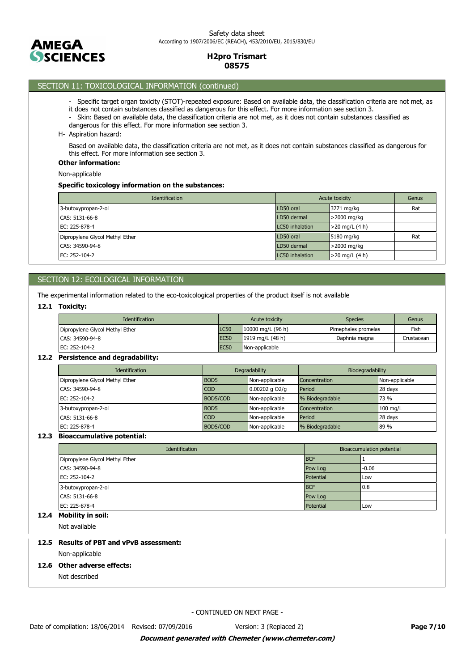

# SECTION 11: TOXICOLOGICAL INFORMATION (continued)

- Specific target organ toxicity (STOT)-repeated exposure: Based on available data, the classification criteria are not met, as
- it does not contain substances classified as dangerous for this effect. For more information see section 3.
- Skin: Based on available data, the classification criteria are not met, as it does not contain substances classified as
- dangerous for this effect. For more information see section 3.
- H- Aspiration hazard:

Based on available data, the classification criteria are not met, as it does not contain substances classified as dangerous for this effect. For more information see section 3.

### **Other information:**

Non-applicable

### **Specific toxicology information on the substances:**

| <b>Identification</b>           | Acute toxicity  | Genus            |     |
|---------------------------------|-----------------|------------------|-----|
| 3-butoxypropan-2-ol             | LD50 oral       | 3771 mg/kg       | Rat |
| CAS: 5131-66-8                  | LD50 dermal     | >2000 mg/kg      |     |
| EC: 225-878-4                   | LC50 inhalation | $>20$ mg/L (4 h) |     |
| Dipropylene Glycol Methyl Ether | LD50 oral       | 5180 mg/kg       | Rat |
| CAS: 34590-94-8                 | LD50 dermal     | >2000 mg/kg      |     |
| EC: 252-104-2                   | LC50 inhalation | $>20$ mg/L (4 h) |     |

# SECTION 12: ECOLOGICAL INFORMATION

The experimental information related to the eco-toxicological properties of the product itself is not available

### **12.1 Toxicity:**

| <b>Identification</b>           |                  | Acute toxicity    | <b>Species</b>      | Genus      |
|---------------------------------|------------------|-------------------|---------------------|------------|
| Dipropylene Glycol Methyl Ether | LC50             | 10000 mg/L (96 h) | Pimephales promelas | Fish       |
| ICAS: 34590-94-8                | EC <sub>50</sub> | 1919 mg/L (48 h)  | Daphnia magna       | Crustacean |
| EC: 252-104-2                   | <b>EC50</b>      | Non-applicable    |                     |            |

### **12.2 Persistence and degradability:**

| <b>Identification</b>           | Degradability    |                | Biodegradability |                |
|---------------------------------|------------------|----------------|------------------|----------------|
| Dipropylene Glycol Methyl Ether | BOD <sub>5</sub> | Non-applicable | Concentration    | Non-applicable |
| CAS: 34590-94-8                 | <b>COD</b>       | 0.00202 g O2/g | Period           | 28 days        |
| EC: 252-104-2                   | BOD5/COD         | Non-applicable | % Biodegradable  | 73 %           |
| 3-butoxypropan-2-ol             | BOD <sub>5</sub> | Non-applicable | Concentration    | 100 mg/L       |
| CAS: 5131-66-8                  | <b>COD</b>       | Non-applicable | Period           | 28 days        |
| EC: 225-878-4                   | BOD5/COD         | Non-applicable | % Biodegradable  | 89 %           |

### **12.3 Bioaccumulative potential:**

| Identification                  | <b>Bioaccumulation potential</b> |         |
|---------------------------------|----------------------------------|---------|
| Dipropylene Glycol Methyl Ether | <b>BCF</b>                       |         |
| CAS: 34590-94-8                 | Pow Log                          | $-0.06$ |
| EC: 252-104-2                   | Potential                        | Low     |
| 3-butoxypropan-2-ol             | <b>BCF</b>                       | 0.8     |
| CAS: 5131-66-8                  | Pow Log                          |         |
| EC: 225-878-4                   | Potential                        | Low     |

# **12.4 Mobility in soil:**

Not available

## **12.5 Results of PBT and vPvB assessment:**

Non-applicable

### **12.6 Other adverse effects:**

Not described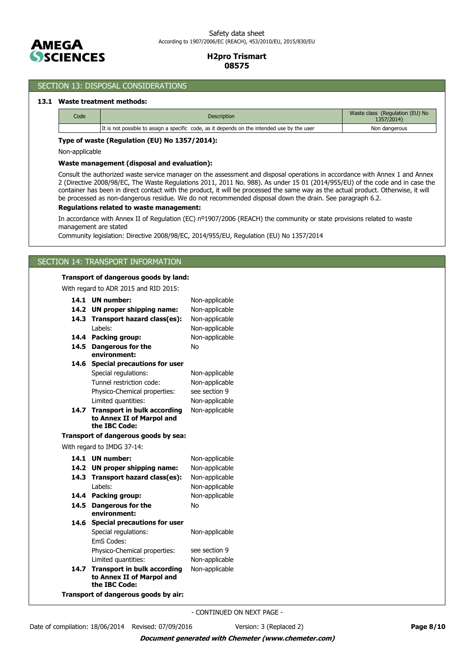

## SECTION 13: DISPOSAL CONSIDERATIONS

### **13.1 Waste treatment methods:**

| Code | <b>Description</b>                                                                          | Waste class (Regulation (EU) No<br>1357/2014) |
|------|---------------------------------------------------------------------------------------------|-----------------------------------------------|
|      | It is not possible to assign a specific code, as it depends on the intended use by the user | Non dangerous                                 |

#### **Type of waste (Regulation (EU) No 1357/2014):**

Non-applicable

#### **Waste management (disposal and evaluation):**

Consult the authorized waste service manager on the assessment and disposal operations in accordance with Annex 1 and Annex 2 (Directive 2008/98/EC, The Waste Regulations 2011, 2011 No. 988). As under 15 01 (2014/955/EU) of the code and in case the container has been in direct contact with the product, it will be processed the same way as the actual product. Otherwise, it will be processed as non-dangerous residue. We do not recommended disposal down the drain. See paragraph 6.2.

### **Regulations related to waste management:**

In accordance with Annex II of Regulation (EC) nº1907/2006 (REACH) the community or state provisions related to waste management are stated

Community legislation: Directive 2008/98/EC, 2014/955/EU, Regulation (EU) No 1357/2014

## SECTION 14: TRANSPORT INFORMATION

### **Transport of dangerous goods by land:**

With regard to ADR 2015 and RID 2015:

| 14.1 | <b>UN number:</b>                          | Non-applicable |  |
|------|--------------------------------------------|----------------|--|
| 14.2 | UN proper shipping name:                   | Non-applicable |  |
| 14.3 | Transport hazard class(es):                | Non-applicable |  |
|      | I abels:                                   | Non-applicable |  |
| 14.4 | <b>Packing group:</b>                      | Non-applicable |  |
| 14.5 | <b>Dangerous for the</b>                   | No             |  |
|      | environment:                               |                |  |
| 14.6 | <b>Special precautions for user</b>        |                |  |
|      | Special regulations:                       | Non-applicable |  |
|      | Tunnel restriction code:                   | Non-applicable |  |
|      | Physico-Chemical properties:               | see section 9  |  |
|      | Limited quantities:                        | Non-applicable |  |
| 14.7 | <b>Transport in bulk according</b>         | Non-applicable |  |
|      | to Annex II of Marpol and<br>the IBC Code: |                |  |
|      |                                            |                |  |
|      | Transport of dangerous goods by sea:       |                |  |
|      | With regard to IMDG 37-14:                 |                |  |
| 14.1 | <b>UN number:</b>                          | Non-applicable |  |
| 14.2 | <b>UN proper shipping name:</b>            | Non-applicable |  |
| 14.3 | Transport hazard class(es):                | Non-applicable |  |
|      | Labels:                                    | Non-applicable |  |
| 14.4 | Packing group:                             | Non-applicable |  |
| 14.5 | Dangerous for the                          | No             |  |
|      | environment:                               |                |  |
| 14.6 | <b>Special precautions for user</b>        |                |  |
|      | Special regulations:                       | Non-applicable |  |
|      | EmS Codes:                                 |                |  |
|      | Physico-Chemical properties:               | see section 9  |  |
|      | Limited quantities:                        | Non-applicable |  |
| 14.7 | <b>Transport in bulk according</b>         | Non-applicable |  |
|      | to Annex II of Marpol and                  |                |  |
|      | the IBC Code:                              |                |  |
|      | Transport of dangerous goods by air:       |                |  |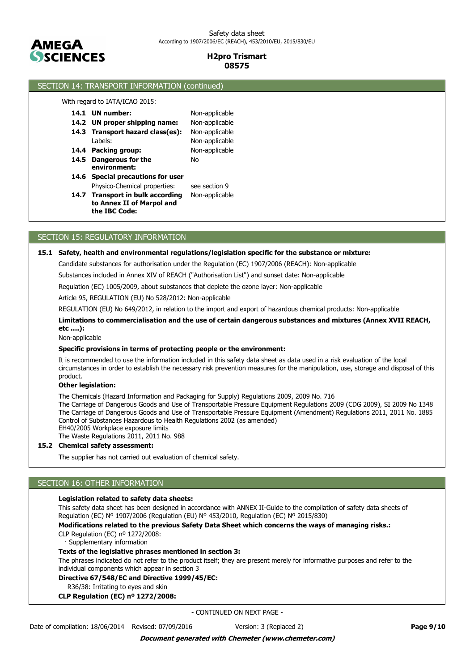

## SECTION 14: TRANSPORT INFORMATION (continued)

With regard to IATA/ICAO 2015:

- **14.1**
- **14.4 Packing group:** Non-applicable **14.3 Transport hazard class(es):** Non-applicable **14.2 UN proper shipping name:** Non-applicable Labels: Non-applicable
- **14.5 Dangerous for the Mo environment:**
- 

Non-applicable

- **14.6 Special precautions for user** Physico-Chemical properties: see section 9
- 14.7 Transport in bulk according Non-applicable **to Annex II of Marpol and the IBC Code:**

# SECTION 15: REGULATORY INFORMATION

### **15.1 Safety, health and environmental regulations/legislation specific for the substance or mixture:**

Candidate substances for authorisation under the Regulation (EC) 1907/2006 (REACH): Non-applicable

Substances included in Annex XIV of REACH ("Authorisation List") and sunset date: Non-applicable

Regulation (EC) 1005/2009, about substances that deplete the ozone layer: Non-applicable

Article 95, REGULATION (EU) No 528/2012: Non-applicable

REGULATION (EU) No 649/2012, in relation to the import and export of hazardous chemical products: Non-applicable

### **Limitations to commercialisation and the use of certain dangerous substances and mixtures (Annex XVII REACH, etc ….):**

Non-applicable

#### **Specific provisions in terms of protecting people or the environment:**

It is recommended to use the information included in this safety data sheet as data used in a risk evaluation of the local circumstances in order to establish the necessary risk prevention measures for the manipulation, use, storage and disposal of this product.

### **Other legislation:**

The Chemicals (Hazard Information and Packaging for Supply) Regulations 2009, 2009 No. 716

The Carriage of Dangerous Goods and Use of Transportable Pressure Equipment Regulations 2009 (CDG 2009), SI 2009 No 1348 The Carriage of Dangerous Goods and Use of Transportable Pressure Equipment (Amendment) Regulations 2011, 2011 No. 1885 Control of Substances Hazardous to Health Regulations 2002 (as amended) EH40/2005 Workplace exposure limits

The Waste Regulations 2011, 2011 No. 988

### **15.2 Chemical safety assessment:**

The supplier has not carried out evaluation of chemical safety.

## SECTION 16: OTHER INFORMATION

### **Legislation related to safety data sheets:**

This safety data sheet has been designed in accordance with ANNEX II-Guide to the compilation of safety data sheets of Regulation (EC) Nº 1907/2006 (Regulation (EU) Nº 453/2010, Regulation (EC) Nº 2015/830)

**Modifications related to the previous Safety Data Sheet which concerns the ways of managing risks.:**

CLP Regulation (EC) nº 1272/2008: Supplementary information

### **Texts of the legislative phrases mentioned in section 3:**

The phrases indicated do not refer to the product itself; they are present merely for informative purposes and refer to the individual components which appear in section 3

#### **Directive 67/548/EC and Directive 1999/45/EC:**

R36/38: Irritating to eyes and skin

#### **CLP Regulation (EC) nº 1272/2008:**